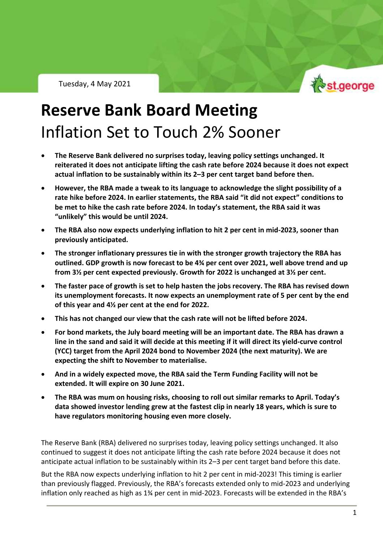Tuesday, 4 May 2021



RBA Policy Outlook – Tuesday 4 May 2021

## **Reserve Bank Board Meeting** Inflation Set to Touch 2% Sooner

- **The Reserve Bank delivered no surprises today, leaving policy settings unchanged. It reiterated it does not anticipate lifting the cash rate before 2024 because it does not expect actual inflation to be sustainably within its 2–3 per cent target band before then.**
- **However, the RBA made a tweak to its language to acknowledge the slight possibility of a rate hike before 2024. In earlier statements, the RBA said "it did not expect" conditions to be met to hike the cash rate before 2024. In today's statement, the RBA said it was "unlikely" this would be until 2024.**
- **The RBA also now expects underlying inflation to hit 2 per cent in mid-2023, sooner than previously anticipated.**
- **The stronger inflationary pressures tie in with the stronger growth trajectory the RBA has outlined. GDP growth is now forecast to be 4¾ per cent over 2021, well above trend and up from 3½ per cent expected previously. Growth for 2022 is unchanged at 3½ per cent.**
- **The faster pace of growth is set to help hasten the jobs recovery. The RBA has revised down its unemployment forecasts. It now expects an unemployment rate of 5 per cent by the end of this year and 4½ per cent at the end for 2022.**
- **This has not changed our view that the cash rate will not be lifted before 2024.**
- **For bond markets, the July board meeting will be an important date. The RBA has drawn a line in the sand and said it will decide at this meeting if it will direct its yield-curve control (YCC) target from the April 2024 bond to November 2024 (the next maturity). We are expecting the shift to November to materialise.**
- **And in a widely expected move, the RBA said the Term Funding Facility will not be extended. It will expire on 30 June 2021.**
- **The RBA was mum on housing risks, choosing to roll out similar remarks to April. Today's data showed investor lending grew at the fastest clip in nearly 18 years, which is sure to have regulators monitoring housing even more closely.**

The Reserve Bank (RBA) delivered no surprises today, leaving policy settings unchanged. It also continued to suggest it does not anticipate lifting the cash rate before 2024 because it does not anticipate actual inflation to be sustainably within its 2–3 per cent target band before this date.

But the RBA now expects underlying inflation to hit 2 per cent in mid-2023! This timing is earlier than previously flagged. Previously, the RBA's forecasts extended only to mid-2023 and underlying inflation only reached as high as 1¾ per cent in mid-2023. Forecasts will be extended in the RBA's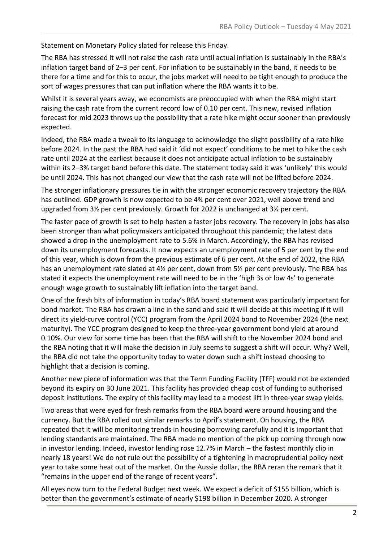Statement on Monetary Policy slated for release this Friday.

The RBA has stressed it will not raise the cash rate until actual inflation is sustainably in the RBA's inflation target band of 2–3 per cent. For inflation to be sustainably in the band, it needs to be there for a time and for this to occur, the jobs market will need to be tight enough to produce the sort of wages pressures that can put inflation where the RBA wants it to be.

Whilst it is several years away, we economists are preoccupied with when the RBA might start raising the cash rate from the current record low of 0.10 per cent. This new, revised inflation forecast for mid 2023 throws up the possibility that a rate hike might occur sooner than previously expected.

Indeed, the RBA made a tweak to its language to acknowledge the slight possibility of a rate hike before 2024. In the past the RBA had said it 'did not expect' conditions to be met to hike the cash rate until 2024 at the earliest because it does not anticipate actual inflation to be sustainably within its 2–3% target band before this date. The statement today said it was 'unlikely' this would be until 2024. This has not changed our view that the cash rate will not be lifted before 2024.

The stronger inflationary pressures tie in with the stronger economic recovery trajectory the RBA has outlined. GDP growth is now expected to be 4¾ per cent over 2021, well above trend and upgraded from 3½ per cent previously. Growth for 2022 is unchanged at 3½ per cent.

The faster pace of growth is set to help hasten a faster jobs recovery. The recovery in jobs has also been stronger than what policymakers anticipated throughout this pandemic; the latest data showed a drop in the unemployment rate to 5.6% in March. Accordingly, the RBA has revised down its unemployment forecasts. It now expects an unemployment rate of 5 per cent by the end of this year, which is down from the previous estimate of 6 per cent. At the end of 2022, the RBA has an unemployment rate slated at 4½ per cent, down from 5½ per cent previously. The RBA has stated it expects the unemployment rate will need to be in the 'high 3s or low 4s' to generate enough wage growth to sustainably lift inflation into the target band.

One of the fresh bits of information in today's RBA board statement was particularly important for bond market. The RBA has drawn a line in the sand and said it will decide at this meeting if it will direct its yield-curve control (YCC) program from the April 2024 bond to November 2024 (the next maturity). The YCC program designed to keep the three-year government bond yield at around 0.10%. Our view for some time has been that the RBA will shift to the November 2024 bond and the RBA noting that it will make the decision in July seems to suggest a shift will occur. Why? Well, the RBA did not take the opportunity today to water down such a shift instead choosing to highlight that a decision is coming.

Another new piece of information was that the Term Funding Facility (TFF) would not be extended beyond its expiry on 30 June 2021. This facility has provided cheap cost of funding to authorised deposit institutions. The expiry of this facility may lead to a modest lift in three-year swap yields.

Two areas that were eyed for fresh remarks from the RBA board were around housing and the currency. But the RBA rolled out similar remarks to April's statement. On housing, the RBA repeated that it will be monitoring trends in housing borrowing carefully and it is important that lending standards are maintained. The RBA made no mention of the pick up coming through now in investor lending. Indeed, investor lending rose 12.7% in March – the fastest monthly clip in nearly 18 years! We do not rule out the possibility of a tightening in macroprudential policy next year to take some heat out of the market. On the Aussie dollar, the RBA reran the remark that it "remains in the upper end of the range of recent years".

All eyes now turn to the Federal Budget next week. We expect a deficit of \$155 billion, which is better than the government's estimate of nearly \$198 billion in December 2020. A stronger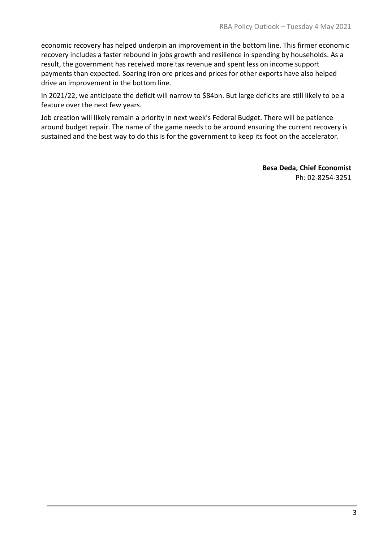economic recovery has helped underpin an improvement in the bottom line. This firmer economic recovery includes a faster rebound in jobs growth and resilience in spending by households. As a result, the government has received more tax revenue and spent less on income support payments than expected. Soaring iron ore prices and prices for other exports have also helped drive an improvement in the bottom line.

In 2021/22, we anticipate the deficit will narrow to \$84bn. But large deficits are still likely to be a feature over the next few years.

Job creation will likely remain a priority in next week's Federal Budget. There will be patience around budget repair. The name of the game needs to be around ensuring the current recovery is sustained and the best way to do this is for the government to keep its foot on the accelerator.

> **Besa Deda, Chief Economist** Ph: 02-8254-3251